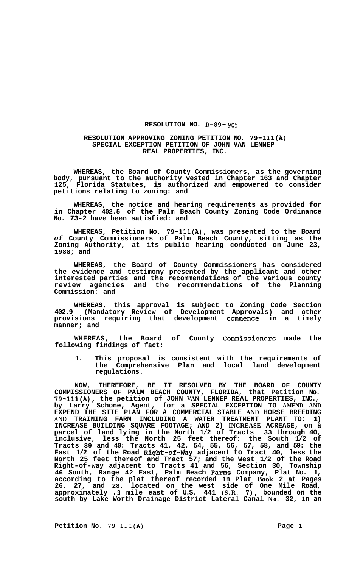## **RESOLUTION NO. R-89-** *905*

## **RESOLUTION APPROVING ZONING PETITION NO. 79-lll(A) SPECIAL EXCEPTION PETITION OF JOHN VAN LENNEP REAL PROPERTIES, INC.**

**WHEREAS, the Board of County Commissioners, as the governing body, pursuant to the authority vested in Chapter 163 and Chapter 125, Florida Statutes, is authorized and empowered to consider petitions relating to zoning: and** 

**WHEREAS, the notice and hearing requirements as provided for in Chapter 402.5 of the Palm Beach County Zoning Code Ordinance No. 73-2 have been satisfied: and** 

**WHEREAS, Petition No. 79-lll(A), was presented to the Board**  *of* **County Commissioners of Palm Beach County, sitting as the Zoning Authority, at its public hearing conducted on June 23, 1988; and** 

**WHEREAS, the Board of County Commissioners has considered the evidence and testimony presented by the applicant and other interested parties and the recommendations of the various county review agencies and the recommendations of the Planning Commission: and** 

**WHEREAS, this approval is subject to Zoning Code Section 402.9 (Mandatory Review of Development Approvals) and other provisions requiring that development commence in a timely manner; and** 

**WHEREAS, the Board of County Commissioners made the following findings of fact:** 

**1. This proposal is consistent with the requirements of the Comprehensive Plan and local land development regulations.** 

**NOW, THEREFORE, BE IT RESOLVED BY THE BOARD OF COUNTY COMMISSIONERS OF PALM BEACH COUNTY, FLORIDA, that Petition No. 79-111(A), the petition of JOHN VAN LENNEP REAL PROPERTIES, INC., by Larry Schone, Agent, for a SPECIAL EXCEPTION TO AMEND AND EXPEND THE SITE PLAN FOR A COMMERCIAL STABLE AND HORSE BREEDING**  AND **TRAINING FARM INCLUDING A WATER TREATMENT PLANT TO: 1) INCREASE BUILDING SQUARE FOOTAGE; AND 2) INCREASE ACREAGE, on a parcel of land lying in the North 1/2 of Tracts 33 through 40, inclusive, less the North 25 feet thereof: the South 1/2 of Tracts 39 and 40: Tracts 41, 42, 54, 55, 56, 57, 58, and 59: the East 1/2 of the Road Right-of-hy adjacent to Tract 40, less the North 25 feet thereof and Tract 57; and the West 1/2 of the Road Right-of-way adjacent to Tracts 41 and 56, Section 30, Township 46 South, Range 42 East, Palm Beach Farms Company, Plat No. 1, according to the plat thereof recorded in Plat Book 2 at Pages 26, 27, and 28, located on the west side of One Mile Road, approximately .3 mile east of U.S. 441 (S.R.** *7),* **bounded on the south by Lake Worth Drainage District Lateral Canal No. 32, in an**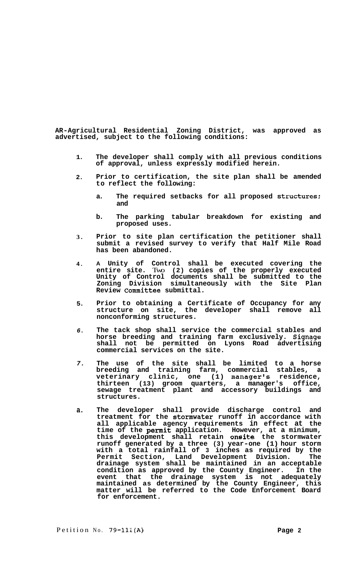**AR-Agricultural Residential Zoning District, was approved as advertised, subject to the following conditions:** 

- **1. The developer shall comply with all previous conditions of approval, unless expressly modified herein.**
- **2. Prior to certification, the site plan shall be amended to reflect the following:** 
	- **a. The required setbacks for all proposed Structures; and**
	- **b. The parking tabular breakdown for existing and proposed uses.**
- **3. Prior to site plan certification the petitioner shall submit a revised survey to verify that Half Mile Road has been abandoned.**
- **4. A Unity of Control shall be executed covering the entire site.** Two **(2) copies of the properly executed Unity of Control documents shall be submitted to the Zoning Division simultaneously with the Site Plan Review Committee submittal.**
- **5. Prior to obtaining a Certificate of Occupancy for any structure on site, the developer shall remove all nonconforming structures.**
- *6.*  **The tack shop shall service the commercial stables and horse breeding and training farm exclusively. Signage shall not be permitted on Lyons Road advertising commercial services on the site.**
- *7.*  **The use of the site shall be limited to a horse breeding and training farm, commercial stables, a veterinary clinic, one (1) manager's residence, thirteen (13) groom quarters, a manager's office, sewage treatment plant and accessory buildings and structures.**
- **a. The developer shall provide discharge control and treatment for the stormwater runoff in accordance with all applicable agency requirements in effect at the time of the permit application. However, at a minimum, this development shall retain onsite the stormwater runoff generated by a three (3) year-one (1) hour storm with a total rainfall of 3 inches as required by the Permit Section, Land Development Division. The drainage system shall be maintained in an acceptable condition as approved by the County Engineer. In the event that the drainage system is not adequately maintained as determined by the County Engineer, this matter will be referred to the Code Enforcement Board for enforcement.**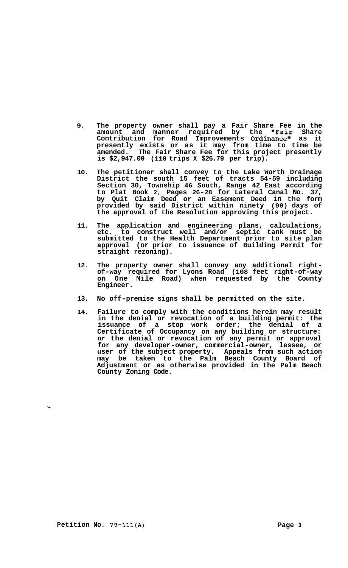- **9. The property owner shall pay a Fair Share Fee in the amount and manner required by the "Fair Share Contribution for Road Improvements Ordinance" as it presently exists or as it may from time to time be amended. The Fair Share Fee for this project presently is \$2,947.00 (110 trips X \$26.79 per trip).**
- **10. The petitioner shall convey to the Lake Worth Drainage District the south 15 feet of tracts 54-59 including Section 30, Township 46 South, Range 42 East according to Plat Book 2, Pages 26-28 for Lateral Canal No. 37, by Quit Claim Deed or an Easement Deed in the form provided by said District within ninety (90) days of the approval of the Resolution approving this project.**
- **11. The application and engineering plans, calculations, etc. to construct well and/or septic tank must be submitted to the Health Department prior to site plan approval (or prior to issuance of Building Permit for straight rezoning).**
- **12. The property owner shall convey any additional right- of-way required for Lyons Road (108 feet right-of-way on One Mile Road) when requested by the County Engineer.**
- **13. No off-premise signs shall be permitted on the site.**
- **14. Failure to comply with the conditions herein may result in the denial or revocation of a building permit: the issuance of a stop work order; the denial of a Certificate of Occupancy on any building or structure: or the denial or revocation of any permit or approval for any developer-owner, commercial-owner, lessee, or user of the subject property. Appeals from such action may be taken to the Palm Beach County Board of Adjustment or as otherwise provided in the Palm Beach County Zoning Code.**

**Petition No.** 79-111(A) **Page 3**